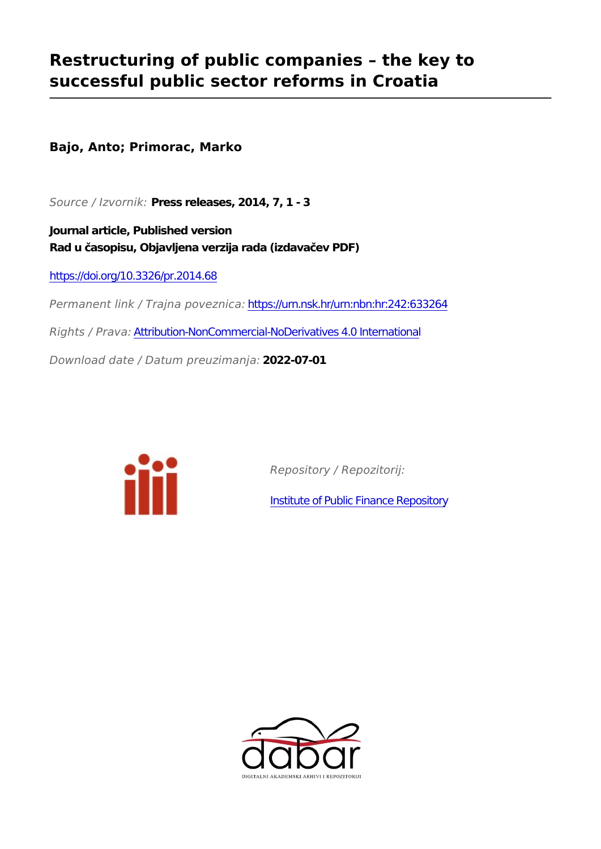## **Restructuring of public companies – the key to successful public sector reforms in Croatia**

**Bajo, Anto; Primorac, Marko**

*Source / Izvornik:* **Press releases, 2014, 7, 1 - 3**

**Journal article, Published version Rad u časopisu, Objavljena verzija rada (izdavačev PDF)**

<https://doi.org/10.3326/pr.2014.68>

*Permanent link / Trajna poveznica:* <https://urn.nsk.hr/urn:nbn:hr:242:633264>

*Rights / Prava:* [Attribution-NonCommercial-NoDerivatives 4.0 International](http://creativecommons.org/licenses/by-nc-nd/4.0/)

*Download date / Datum preuzimanja:* **2022-07-01**



*Repository / Repozitorij:*

[Institute of Public Finance Repository](https://repozitorij.ijf.hr)

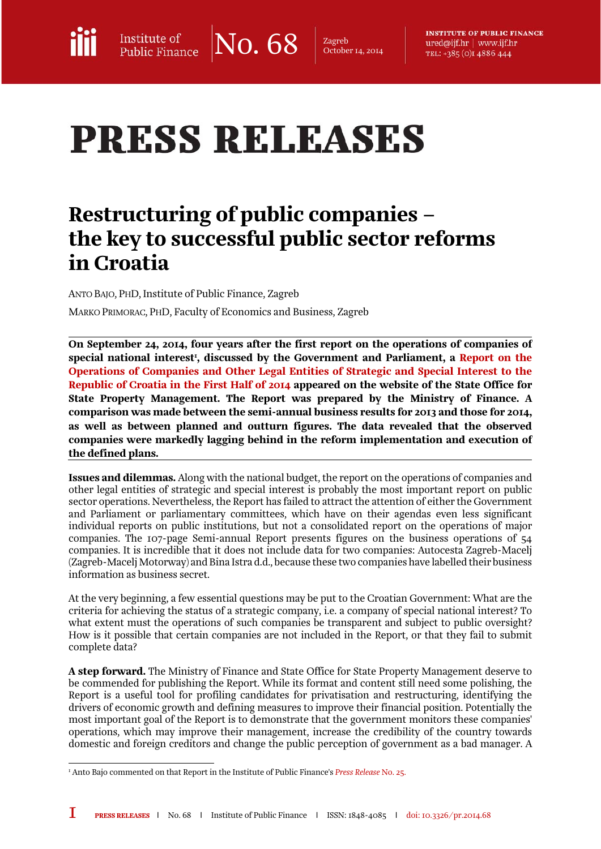$\text{No. } 68$   $\vert$  Zagreb<br>October 1.

October 14, 2014

**INSTITUTE OF PUBLIC FINANCE** ured@ijf.hr | www.ijf.hr TEL: +385 (0) 14886 444

## **PRESS RELEASES**

## Restructuring of public companies – the key to successful public sector reforms in Croatia

ANTO BAJO, PHD, Institute of Public Finance, Zagreb MARKO PRIMORAC, PHD, Faculty of Economics and Business, Zagreb

On September 24, 2014, four years after the first report on the operations of companies of special national interest<sup>1</sup>, discussed by the Government and Parliament, a <mark>Report on the</mark> [Operations of Companies and Other Legal Entities of Strategic and Special Interest to the](http://www.duudi.hr/wp-content/uploads/2014/09/Polugodisnje-izvjesce-JP1.pdf)  [Republic of Croatia in the First Half of 2014](http://www.duudi.hr/wp-content/uploads/2014/09/Polugodisnje-izvjesce-JP1.pdf) appeared on the website of the State Office for State Property Management. The Report was prepared by the Ministry of Finance. A comparison was made between the semi-annual business results for 2013 and those for 2014, as well as between planned and outturn figures. The data revealed that the observed companies were markedly lagging behind in the reform implementation and execution of the defined plans.

Issues and dilemmas.Along with the national budget, the report on the operations of companies and other legal entities of strategic and special interest is probably the most important report on public sector operations. Nevertheless, the Report has failed to attract the attention of either the Government and Parliament or parliamentary committees, which have on their agendas even less significant individual reports on public institutions, but not a consolidated report on the operations of major companies. The 107-page Semi-annual Report presents figures on the business operations of 54 companies. It is incredible that it does not include data for two companies: Autocesta Zagreb-Macelj (Zagreb-Macelj Motorway) and Bina Istra d.d., because these two companies have labelled their business information as business secret.

At the very beginning, a few essential questions may be put to the Croatian Government: What are the criteria for achieving the status of a strategic company, i.e. a company of special national interest? To what extent must the operations of such companies be transparent and subject to public oversight? How is it possible that certain companies are not included in the Report, or that they fail to submit complete data?

A step forward. The Ministry of Finance and State Office for State Property Management deserve to be commended for publishing the Report. While its format and content still need some polishing, the Report is a useful tool for profiling candidates for privatisation and restructuring, identifying the drivers of economic growth and defining measures to improve their financial position. Potentially the most important goal of the Report is to demonstrate that the government monitors these companies' operations, which may improve their management, increase the credibility of the country towards domestic and foreign creditors and change the public perception of government as a bad manager. A

l 1 Anto Bajo commented on that Report in the Institute of Public Finance's *[Press Release](http://www.ijf.hr/eng/releases/25.pdf)* No. 25.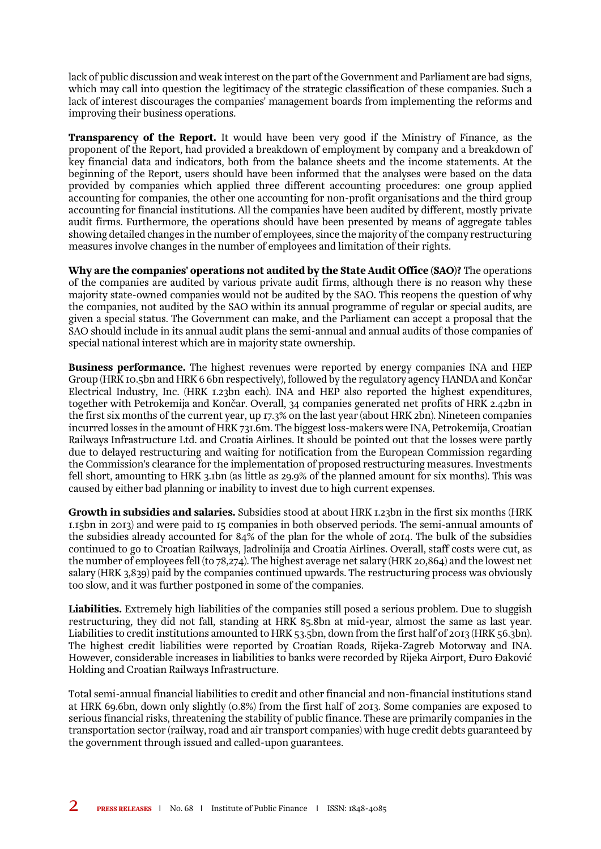lack of public discussion and weak interest on the part of the Government and Parliament are bad signs, which may call into question the legitimacy of the strategic classification of these companies. Such a lack of interest discourages the companies' management boards from implementing the reforms and improving their business operations.

Transparency of the Report.It would have been very good if the Ministry of Finance, as the proponent of the Report, had provided a breakdown of employment by company and a breakdown of key financial data and indicators, both from the balance sheets and the income statements. At the beginning of the Report, users should have been informed that the analyses were based on the data provided by companies which applied three different accounting procedures: one group applied accounting for companies, the other one accounting for non-profit organisations and the third group accounting for financial institutions. All the companies have been audited by different, mostly private audit firms. Furthermore, the operations should have been presented by means of aggregate tables showing detailed changes in the number of employees, since the majority of the company restructuring measures involve changes in the number of employees and limitation of their rights.

Why are the companies' operations not audited by the State Audit Office (SAO)?The operations of the companies are audited by various private audit firms, although there is no reason why these majority state-owned companies would not be audited by the SAO. This reopens the question of why the companies, not audited by the SAO within its annual programme of regular or special audits, are given a special status. The Government can make, and the Parliament can accept a proposal that the SAO should include in its annual audit plans the semi-annual and annual audits of those companies of special national interest which are in majority state ownership.

Business performance.The highest revenues were reported by energy companies INA and HEP Group (HRK 10.5bn and HRK 6 6bn respectively), followed by the regulatory agency HANDA and Končar Electrical Industry, Inc. (HRK 1.23bn each). INA and HEP also reported the highest expenditures, together with Petrokemija and Končar. Overall, 34 companies generated net profits of HRK 2.42bn in the first six months of the current year, up 17.3% on the last year (about HRK 2bn). Nineteen companies incurred losses in the amount of HRK 731.6m. The biggest loss-makers were INA, Petrokemija, Croatian Railways Infrastructure Ltd. and Croatia Airlines. It should be pointed out that the losses were partly due to delayed restructuring and waiting for notification from the European Commission regarding the Commission's clearance for the implementation of proposed restructuring measures. Investments fell short, amounting to HRK 3.1bn (as little as 29.9% of the planned amount for six months). This was caused by either bad planning or inability to invest due to high current expenses.

Growth in subsidies and salaries.Subsidies stood at about HRK 1.23bn in the first six months (HRK 1.15bn in 2013) and were paid to 15 companies in both observed periods. The semi-annual amounts of the subsidies already accounted for 84% of the plan for the whole of 2014. The bulk of the subsidies continued to go to Croatian Railways, Jadrolinija and Croatia Airlines. Overall, staff costs were cut, as the number of employees fell (to 78,274). The highest average net salary (HRK 20,864) and the lowest net salary (HRK 3,839) paid by the companies continued upwards. The restructuring process was obviously too slow, and it was further postponed in some of the companies.

Liabilities.Extremely highliabilities of the companies still posed a serious problem. Due to sluggish restructuring, they did not fall, standing at HRK 85.8bn at mid-year, almost the same as last year. Liabilities to credit institutions amounted to HRK 53.5bn, down from the first half of 2013 (HRK 56.3bn). The highest credit liabilities were reported by Croatian Roads, Rijeka-Zagreb Motorway and INA. However, considerable increases in liabilities to banks were recorded by Rijeka Airport, Đuro Đaković Holding and Croatian Railways Infrastructure.

Total semi-annual financial liabilities to credit and other financial and non-financial institutions stand at HRK 69.6bn, down only slightly (0.8%) from the first half of 2013. Some companies are exposed to serious financial risks, threatening the stability of public finance. These are primarily companies in the transportation sector (railway, road and air transport companies) with huge credit debts guaranteed by the government through issued and called-upon guarantees.